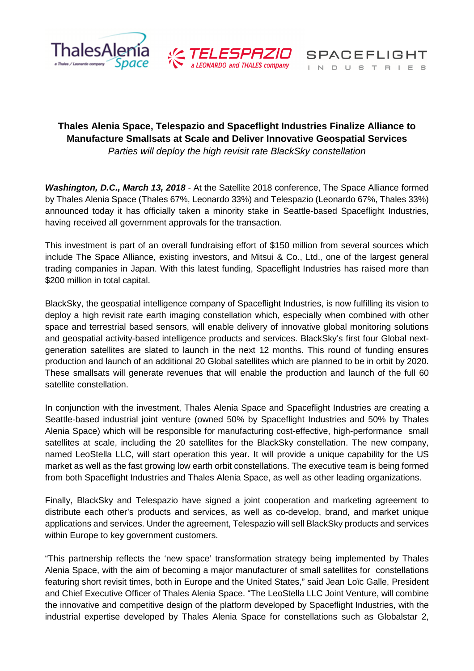



INDUSTRIES

**SPACEFLIGHT** 

# **Thales Alenia Space, Telespazio and Spaceflight Industries Finalize Alliance to Manufacture Smallsats at Scale and Deliver Innovative Geospatial Services**  Parties will deploy the high revisit rate BlackSky constellation

**Washington, D.C., March 13, 2018** - At the Satellite 2018 conference, The Space Alliance formed by Thales Alenia Space (Thales 67%, Leonardo 33%) and Telespazio (Leonardo 67%, Thales 33%) announced today it has officially taken a minority stake in Seattle-based Spaceflight Industries, having received all government approvals for the transaction.

This investment is part of an overall fundraising effort of \$150 million from several sources which include The Space Alliance, existing investors, and Mitsui & Co., Ltd., one of the largest general trading companies in Japan. With this latest funding, Spaceflight Industries has raised more than \$200 million in total capital.

BlackSky, the geospatial intelligence company of Spaceflight Industries, is now fulfilling its vision to deploy a high revisit rate earth imaging constellation which, especially when combined with other space and terrestrial based sensors, will enable delivery of innovative global monitoring solutions and geospatial activity-based intelligence products and services. BlackSky's first four Global nextgeneration satellites are slated to launch in the next 12 months. This round of funding ensures production and launch of an additional 20 Global satellites which are planned to be in orbit by 2020. These smallsats will generate revenues that will enable the production and launch of the full 60 satellite constellation.

In conjunction with the investment, Thales Alenia Space and Spaceflight Industries are creating a Seattle-based industrial joint venture (owned 50% by Spaceflight Industries and 50% by Thales Alenia Space) which will be responsible for manufacturing cost-effective, high-performance small satellites at scale, including the 20 satellites for the BlackSky constellation. The new company, named LeoStella LLC, will start operation this year. It will provide a unique capability for the US market as well as the fast growing low earth orbit constellations. The executive team is being formed from both Spaceflight Industries and Thales Alenia Space, as well as other leading organizations.

Finally, BlackSky and Telespazio have signed a joint cooperation and marketing agreement to distribute each other's products and services, as well as co-develop, brand, and market unique applications and services. Under the agreement, Telespazio will sell BlackSky products and services within Europe to key government customers.

"This partnership reflects the 'new space' transformation strategy being implemented by Thales Alenia Space, with the aim of becoming a major manufacturer of small satellites for constellations featuring short revisit times, both in Europe and the United States," said Jean Loïc Galle, President and Chief Executive Officer of Thales Alenia Space. "The LeoStella LLC Joint Venture, will combine the innovative and competitive design of the platform developed by Spaceflight Industries, with the industrial expertise developed by Thales Alenia Space for constellations such as Globalstar 2,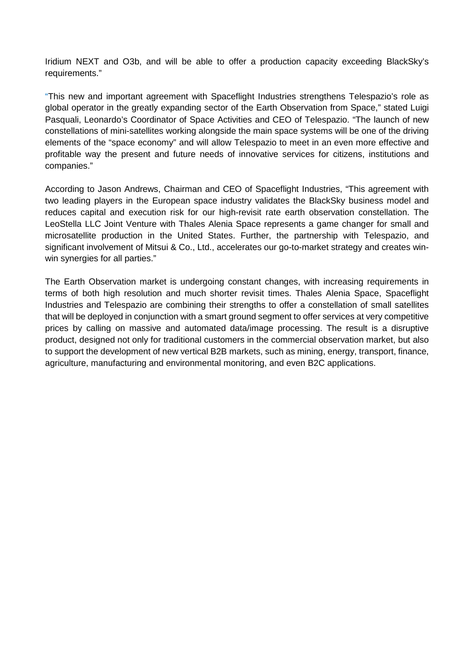Iridium NEXT and O3b, and will be able to offer a production capacity exceeding BlackSky's requirements."

"This new and important agreement with Spaceflight Industries strengthens Telespazio's role as global operator in the greatly expanding sector of the Earth Observation from Space," stated Luigi Pasquali, Leonardo's Coordinator of Space Activities and CEO of Telespazio. "The launch of new constellations of mini-satellites working alongside the main space systems will be one of the driving elements of the "space economy" and will allow Telespazio to meet in an even more effective and profitable way the present and future needs of innovative services for citizens, institutions and companies."

According to Jason Andrews, Chairman and CEO of Spaceflight Industries, "This agreement with two leading players in the European space industry validates the BlackSky business model and reduces capital and execution risk for our high-revisit rate earth observation constellation. The LeoStella LLC Joint Venture with Thales Alenia Space represents a game changer for small and microsatellite production in the United States. Further, the partnership with Telespazio, and significant involvement of Mitsui & Co., Ltd., accelerates our go-to-market strategy and creates winwin synergies for all parties."

The Earth Observation market is undergoing constant changes, with increasing requirements in terms of both high resolution and much shorter revisit times. Thales Alenia Space, Spaceflight Industries and Telespazio are combining their strengths to offer a constellation of small satellites that will be deployed in conjunction with a smart ground segment to offer services at very competitive prices by calling on massive and automated data/image processing. The result is a disruptive product, designed not only for traditional customers in the commercial observation market, but also to support the development of new vertical B2B markets, such as mining, energy, transport, finance, agriculture, manufacturing and environmental monitoring, and even B2C applications.